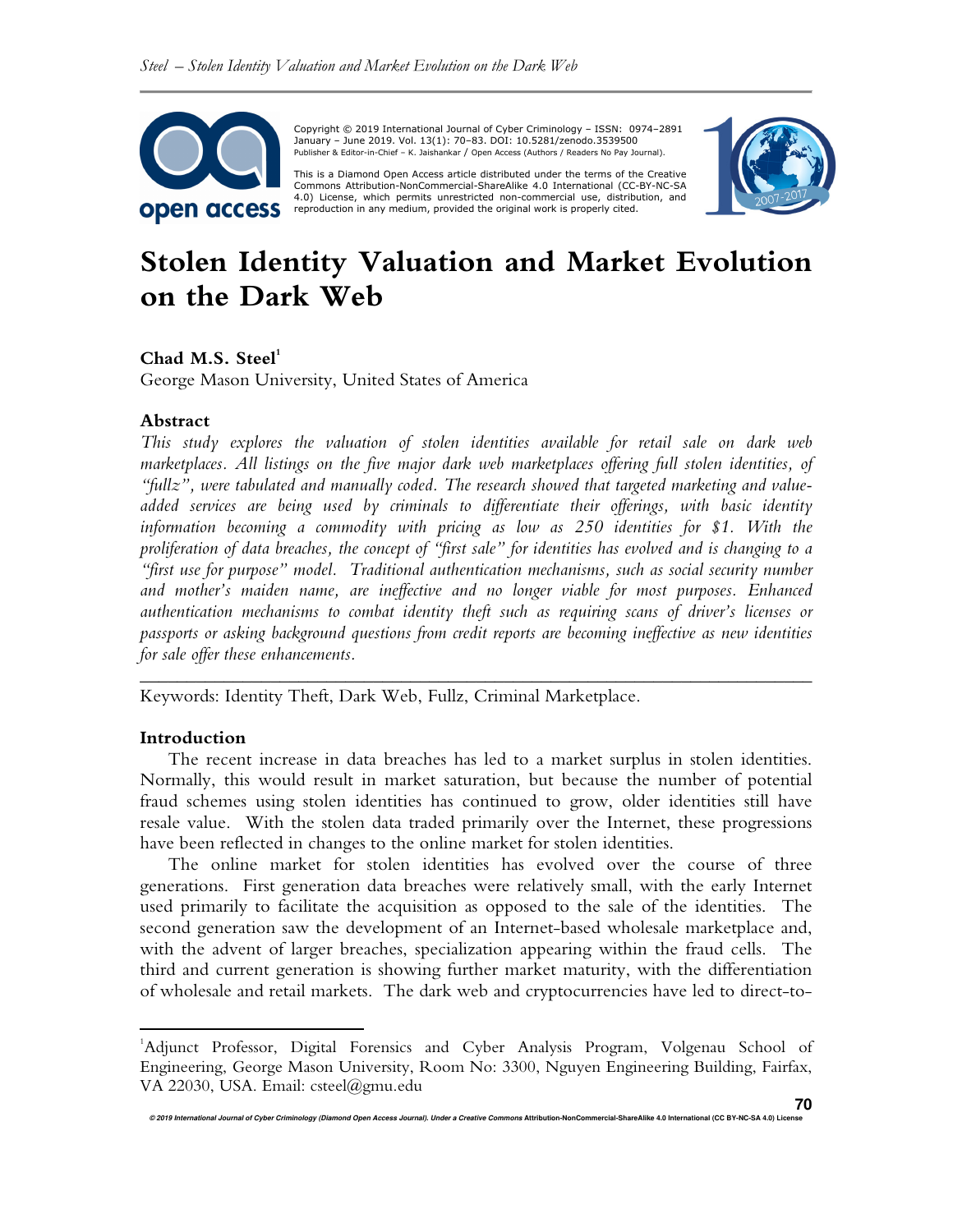

 Copyright © 2019 International Journal of Cyber Criminology – ISSN: 0974–2891 January – June 2019. Vol. 13(1): 70–83. DOI: 10.5281/zenodo.3539500 Publisher & Editor-in-Chief – K. Jaishankar / Open Access (Authors / Readers No Pay Journal).

This is a Diamond Open Access article distributed under the terms of the Creative Commons HTUAttribution-NonCommercial-ShareAlike 4.0 International (CC-BY-NC-SA 4.0) License, which permits unrestricted non-commercial use, distribution, and reproduction in any medium, provided the original work is properly cited.



# **Stolen Identity Valuation and Market Evolution on the Dark Web**

## **Chad M.S. Steel<sup>1</sup>**

George Mason University, United States of America

## **Abstract**

*This study explores the valuation of stolen identities available for retail sale on dark web marketplaces. All listings on the five major dark web marketplaces offering full stolen identities, of "fullz", were tabulated and manually coded. The research showed that targeted marketing and valueadded services are being used by criminals to differentiate their offerings, with basic identity information becoming a commodity with pricing as low as 250 identities for \$1. With the proliferation of data breaches, the concept of "first sale" for identities has evolved and is changing to a "first use for purpose" model. Traditional authentication mechanisms, such as social security number and mother's maiden name, are ineffective and no longer viable for most purposes. Enhanced authentication mechanisms to combat identity theft such as requiring scans of driver's licenses or passports or asking background questions from credit reports are becoming ineffective as new identities for sale offer these enhancements.* 

Keywords: Identity Theft, Dark Web, Fullz, Criminal Marketplace.

## **Introduction**

 $\overline{a}$ 

The recent increase in data breaches has led to a market surplus in stolen identities. Normally, this would result in market saturation, but because the number of potential fraud schemes using stolen identities has continued to grow, older identities still have resale value. With the stolen data traded primarily over the Internet, these progressions have been reflected in changes to the online market for stolen identities.

*\_\_\_\_\_\_\_\_\_\_\_\_\_\_\_\_\_\_\_\_\_\_\_\_\_\_\_\_\_\_\_\_\_\_\_\_\_\_\_\_\_\_\_\_\_\_\_\_\_\_\_\_\_\_\_\_\_\_\_\_\_\_\_\_\_\_\_\_\_\_\_\_* 

The online market for stolen identities has evolved over the course of three generations. First generation data breaches were relatively small, with the early Internet used primarily to facilitate the acquisition as opposed to the sale of the identities. The second generation saw the development of an Internet-based wholesale marketplace and, with the advent of larger breaches, specialization appearing within the fraud cells. The third and current generation is showing further market maturity, with the differentiation of wholesale and retail markets. The dark web and cryptocurrencies have led to direct-to-

<sup>1</sup>Adjunct Professor, Digital Forensics and Cyber Analysis Program, Volgenau School of Engineering, George Mason University, Room No: 3300, Nguyen Engineering Building, Fairfax, VA 22030, USA. Email: csteel@gmu.edu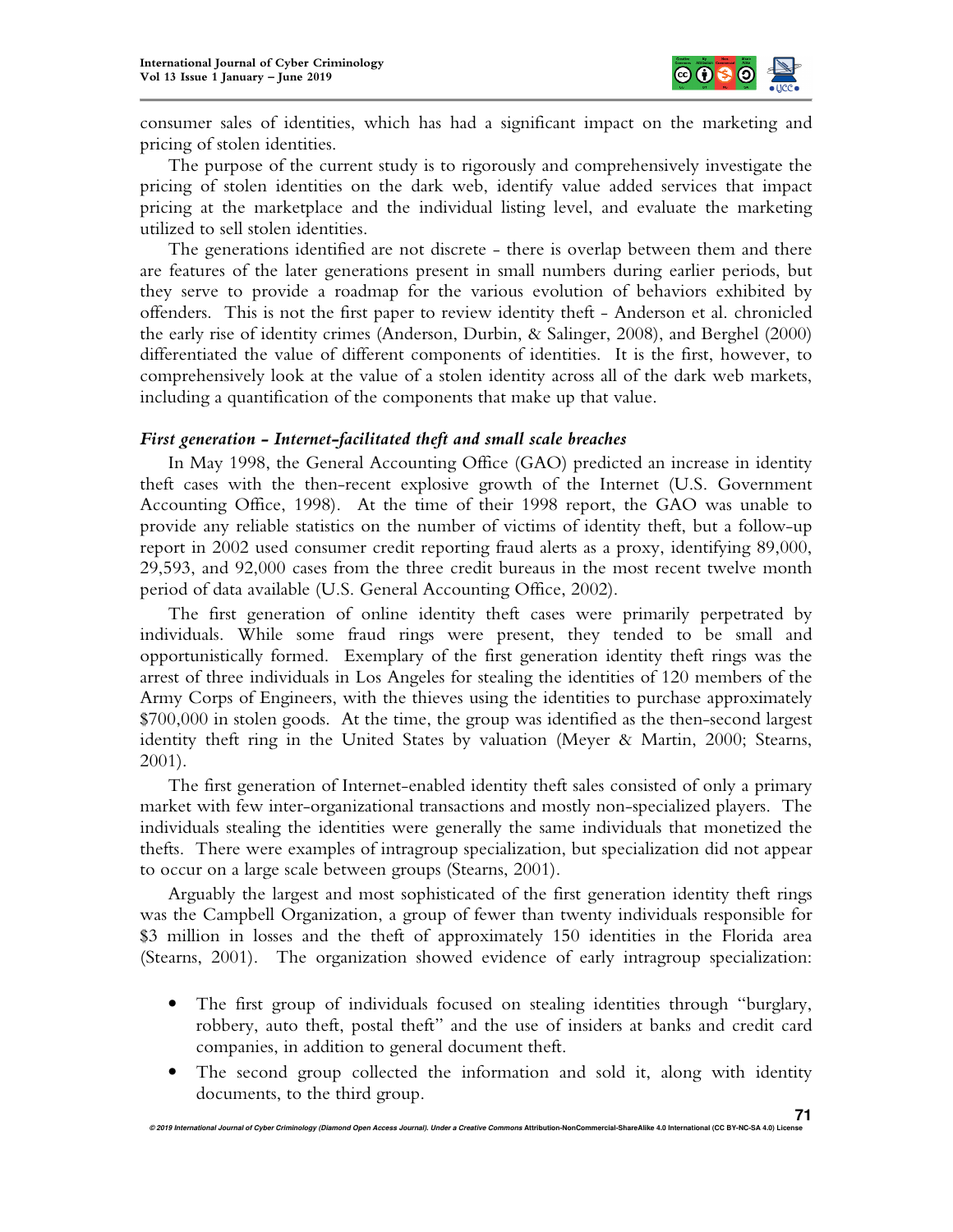

consumer sales of identities, which has had a significant impact on the marketing and pricing of stolen identities.

The purpose of the current study is to rigorously and comprehensively investigate the pricing of stolen identities on the dark web, identify value added services that impact pricing at the marketplace and the individual listing level, and evaluate the marketing utilized to sell stolen identities.

The generations identified are not discrete - there is overlap between them and there are features of the later generations present in small numbers during earlier periods, but they serve to provide a roadmap for the various evolution of behaviors exhibited by offenders. This is not the first paper to review identity theft - Anderson et al. chronicled the early rise of identity crimes (Anderson, Durbin, & Salinger, 2008), and Berghel (2000) differentiated the value of different components of identities. It is the first, however, to comprehensively look at the value of a stolen identity across all of the dark web markets, including a quantification of the components that make up that value.

## *First generation - Internet-facilitated theft and small scale breaches*

In May 1998, the General Accounting Office (GAO) predicted an increase in identity theft cases with the then-recent explosive growth of the Internet (U.S. Government Accounting Office, 1998). At the time of their 1998 report, the GAO was unable to provide any reliable statistics on the number of victims of identity theft, but a follow-up report in 2002 used consumer credit reporting fraud alerts as a proxy, identifying 89,000, 29,593, and 92,000 cases from the three credit bureaus in the most recent twelve month period of data available (U.S. General Accounting Office, 2002).

The first generation of online identity theft cases were primarily perpetrated by individuals. While some fraud rings were present, they tended to be small and opportunistically formed. Exemplary of the first generation identity theft rings was the arrest of three individuals in Los Angeles for stealing the identities of 120 members of the Army Corps of Engineers, with the thieves using the identities to purchase approximately \$700,000 in stolen goods. At the time, the group was identified as the then-second largest identity theft ring in the United States by valuation (Meyer & Martin, 2000; Stearns, 2001).

The first generation of Internet-enabled identity theft sales consisted of only a primary market with few inter-organizational transactions and mostly non-specialized players. The individuals stealing the identities were generally the same individuals that monetized the thefts. There were examples of intragroup specialization, but specialization did not appear to occur on a large scale between groups (Stearns, 2001).

Arguably the largest and most sophisticated of the first generation identity theft rings was the Campbell Organization, a group of fewer than twenty individuals responsible for \$3 million in losses and the theft of approximately 150 identities in the Florida area (Stearns, 2001). The organization showed evidence of early intragroup specialization:

- The first group of individuals focused on stealing identities through "burglary, robbery, auto theft, postal theft" and the use of insiders at banks and credit card companies, in addition to general document theft.
- The second group collected the information and sold it, along with identity documents, to the third group.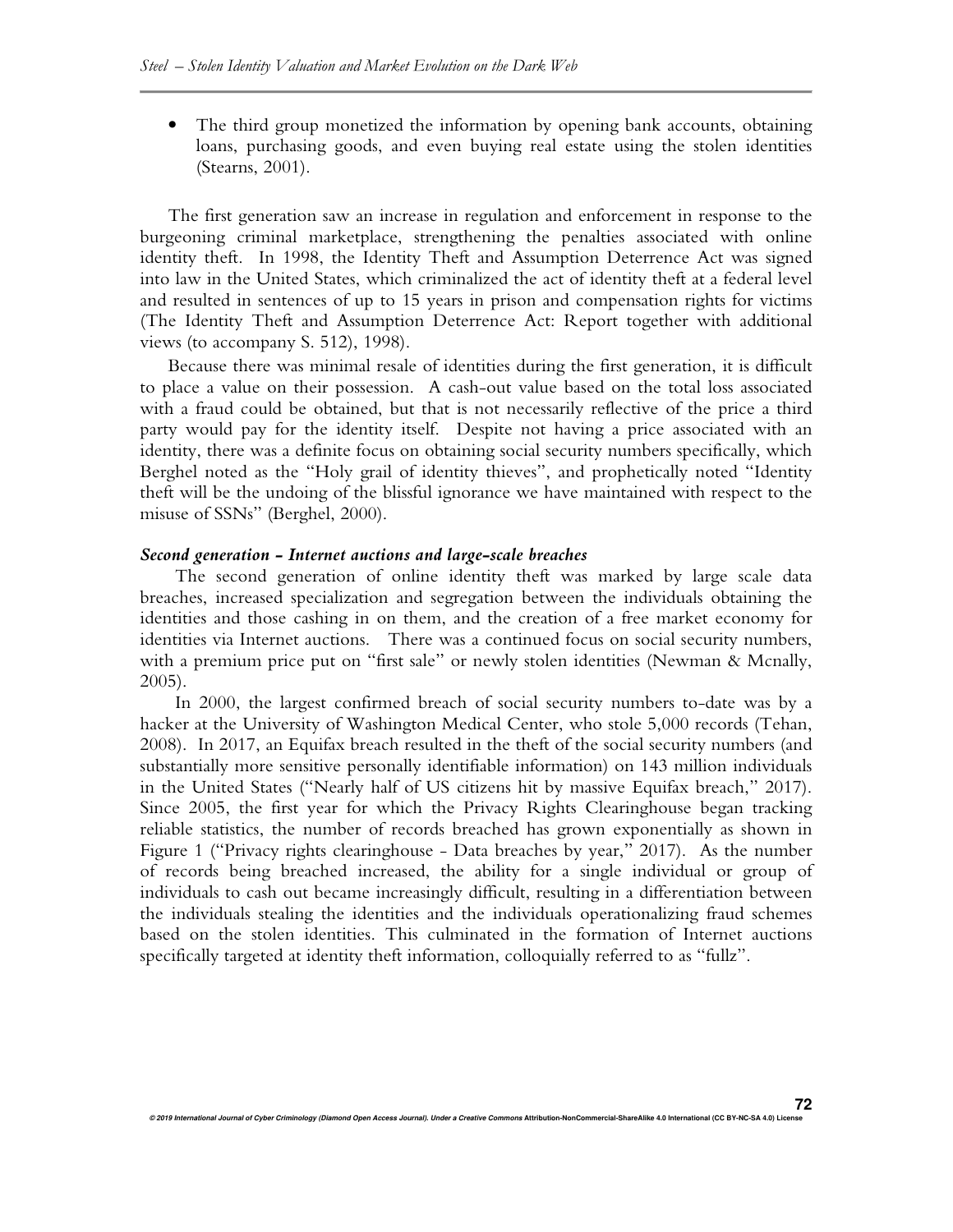• The third group monetized the information by opening bank accounts, obtaining loans, purchasing goods, and even buying real estate using the stolen identities (Stearns, 2001).

The first generation saw an increase in regulation and enforcement in response to the burgeoning criminal marketplace, strengthening the penalties associated with online identity theft. In 1998, the Identity Theft and Assumption Deterrence Act was signed into law in the United States, which criminalized the act of identity theft at a federal level and resulted in sentences of up to 15 years in prison and compensation rights for victims (The Identity Theft and Assumption Deterrence Act: Report together with additional views (to accompany S. 512), 1998).

Because there was minimal resale of identities during the first generation, it is difficult to place a value on their possession. A cash-out value based on the total loss associated with a fraud could be obtained, but that is not necessarily reflective of the price a third party would pay for the identity itself. Despite not having a price associated with an identity, there was a definite focus on obtaining social security numbers specifically, which Berghel noted as the "Holy grail of identity thieves", and prophetically noted "Identity theft will be the undoing of the blissful ignorance we have maintained with respect to the misuse of SSNs" (Berghel, 2000).

## *Second generation - Internet auctions and large-scale breaches*

The second generation of online identity theft was marked by large scale data breaches, increased specialization and segregation between the individuals obtaining the identities and those cashing in on them, and the creation of a free market economy for identities via Internet auctions. There was a continued focus on social security numbers, with a premium price put on "first sale" or newly stolen identities (Newman & Mcnally, 2005).

In 2000, the largest confirmed breach of social security numbers to-date was by a hacker at the University of Washington Medical Center, who stole 5,000 records (Tehan, 2008). In 2017, an Equifax breach resulted in the theft of the social security numbers (and substantially more sensitive personally identifiable information) on 143 million individuals in the United States ("Nearly half of US citizens hit by massive Equifax breach," 2017). Since 2005, the first year for which the Privacy Rights Clearinghouse began tracking reliable statistics, the number of records breached has grown exponentially as shown in Figure 1 ("Privacy rights clearinghouse - Data breaches by year," 2017). As the number of records being breached increased, the ability for a single individual or group of individuals to cash out became increasingly difficult, resulting in a differentiation between the individuals stealing the identities and the individuals operationalizing fraud schemes based on the stolen identities. This culminated in the formation of Internet auctions specifically targeted at identity theft information, colloquially referred to as "fullz".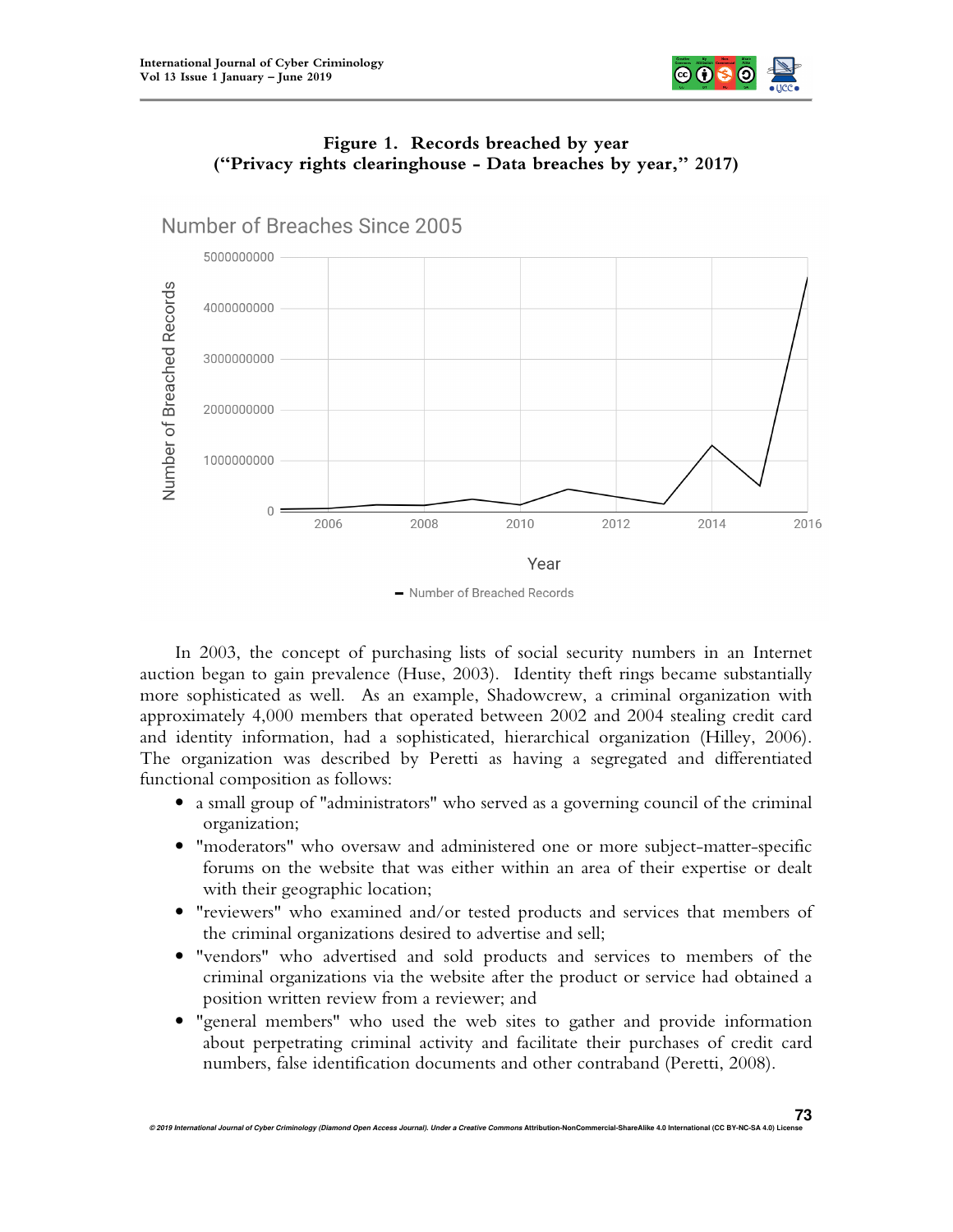



# **Figure 1. Records breached by year ("Privacy rights clearinghouse - Data breaches by year," 2017)**

- Number of Breached Records

In 2003, the concept of purchasing lists of social security numbers in an Internet auction began to gain prevalence (Huse, 2003). Identity theft rings became substantially more sophisticated as well. As an example, Shadowcrew, a criminal organization with approximately 4,000 members that operated between 2002 and 2004 stealing credit card and identity information, had a sophisticated, hierarchical organization (Hilley, 2006). The organization was described by Peretti as having a segregated and differentiated functional composition as follows:

- a small group of "administrators" who served as a governing council of the criminal organization;
- "moderators" who oversaw and administered one or more subject-matter-specific forums on the website that was either within an area of their expertise or dealt with their geographic location;
- "reviewers" who examined and/or tested products and services that members of the criminal organizations desired to advertise and sell;
- "vendors" who advertised and sold products and services to members of the criminal organizations via the website after the product or service had obtained a position written review from a reviewer; and
- "general members" who used the web sites to gather and provide information about perpetrating criminal activity and facilitate their purchases of credit card numbers, false identification documents and other contraband (Peretti, 2008).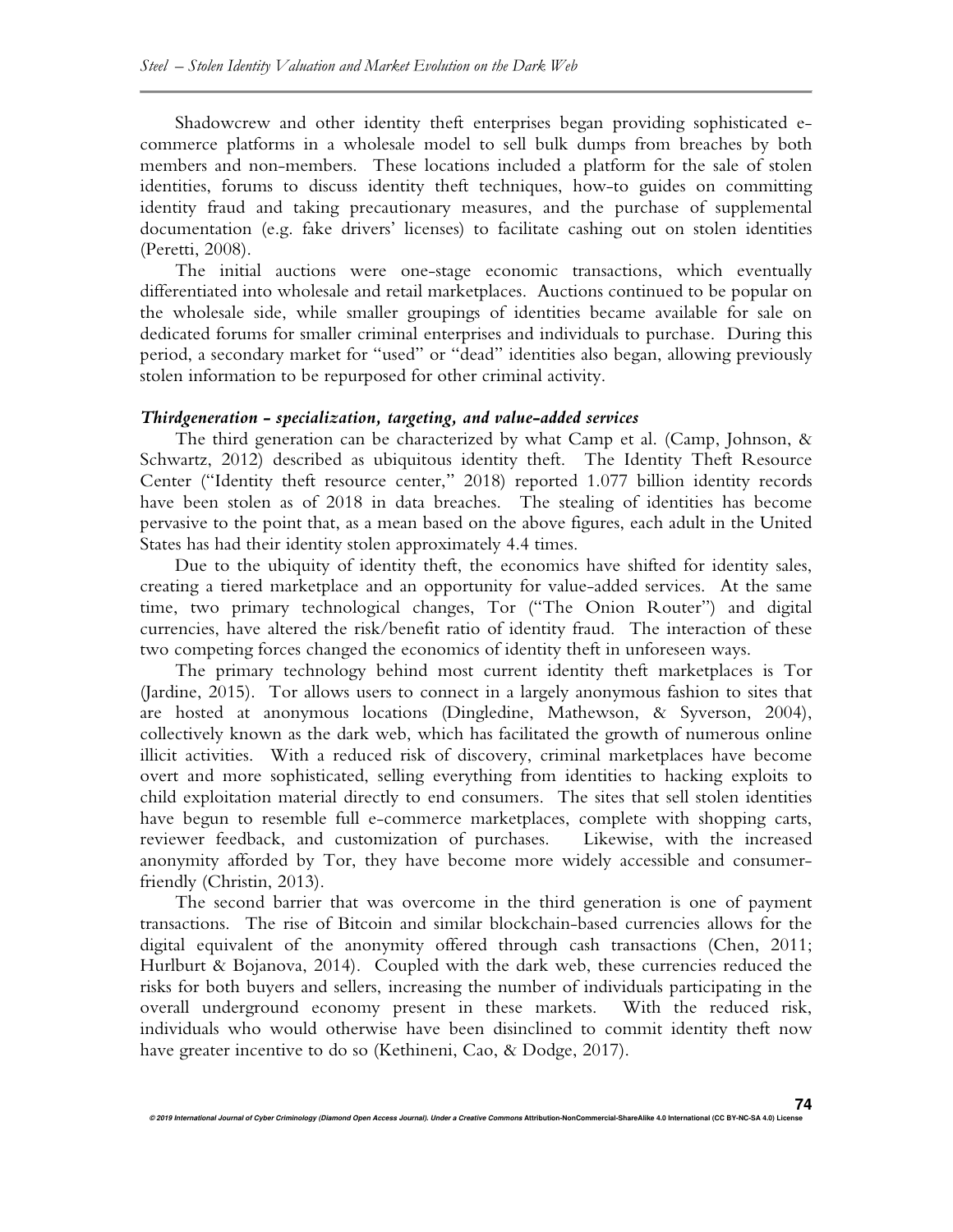Shadowcrew and other identity theft enterprises began providing sophisticated ecommerce platforms in a wholesale model to sell bulk dumps from breaches by both members and non-members. These locations included a platform for the sale of stolen identities, forums to discuss identity theft techniques, how-to guides on committing identity fraud and taking precautionary measures, and the purchase of supplemental documentation (e.g. fake drivers' licenses) to facilitate cashing out on stolen identities (Peretti, 2008).

The initial auctions were one-stage economic transactions, which eventually differentiated into wholesale and retail marketplaces. Auctions continued to be popular on the wholesale side, while smaller groupings of identities became available for sale on dedicated forums for smaller criminal enterprises and individuals to purchase. During this period, a secondary market for "used" or "dead" identities also began, allowing previously stolen information to be repurposed for other criminal activity.

#### *Thirdgeneration - specialization, targeting, and value-added services*

The third generation can be characterized by what Camp et al. (Camp, Johnson, & Schwartz, 2012) described as ubiquitous identity theft. The Identity Theft Resource Center ("Identity theft resource center," 2018) reported 1.077 billion identity records have been stolen as of 2018 in data breaches. The stealing of identities has become pervasive to the point that, as a mean based on the above figures, each adult in the United States has had their identity stolen approximately 4.4 times.

Due to the ubiquity of identity theft, the economics have shifted for identity sales, creating a tiered marketplace and an opportunity for value-added services. At the same time, two primary technological changes, Tor ("The Onion Router") and digital currencies, have altered the risk/benefit ratio of identity fraud. The interaction of these two competing forces changed the economics of identity theft in unforeseen ways.

The primary technology behind most current identity theft marketplaces is Tor (Jardine, 2015). Tor allows users to connect in a largely anonymous fashion to sites that are hosted at anonymous locations (Dingledine, Mathewson, & Syverson, 2004), collectively known as the dark web, which has facilitated the growth of numerous online illicit activities. With a reduced risk of discovery, criminal marketplaces have become overt and more sophisticated, selling everything from identities to hacking exploits to child exploitation material directly to end consumers. The sites that sell stolen identities have begun to resemble full e-commerce marketplaces, complete with shopping carts, reviewer feedback, and customization of purchases. Likewise, with the increased reviewer feedback, and customization of purchases. anonymity afforded by Tor, they have become more widely accessible and consumerfriendly (Christin, 2013).

The second barrier that was overcome in the third generation is one of payment transactions. The rise of Bitcoin and similar blockchain-based currencies allows for the digital equivalent of the anonymity offered through cash transactions (Chen, 2011; Hurlburt & Bojanova, 2014). Coupled with the dark web, these currencies reduced the risks for both buyers and sellers, increasing the number of individuals participating in the overall underground economy present in these markets. With the reduced risk, individuals who would otherwise have been disinclined to commit identity theft now have greater incentive to do so (Kethineni, Cao, & Dodge, 2017).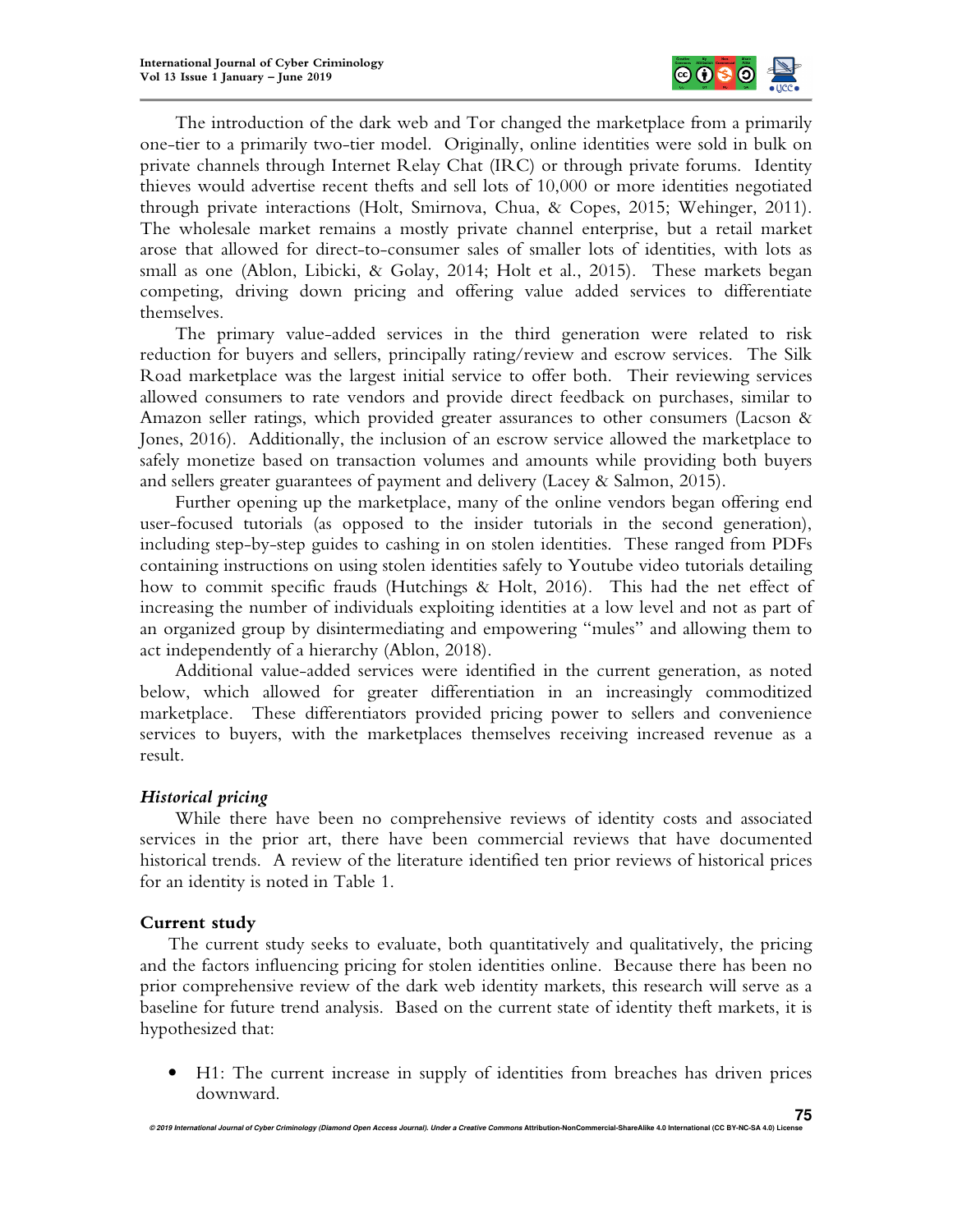

The introduction of the dark web and Tor changed the marketplace from a primarily one-tier to a primarily two-tier model. Originally, online identities were sold in bulk on private channels through Internet Relay Chat (IRC) or through private forums. Identity thieves would advertise recent thefts and sell lots of 10,000 or more identities negotiated through private interactions (Holt, Smirnova, Chua, & Copes, 2015; Wehinger, 2011). The wholesale market remains a mostly private channel enterprise, but a retail market arose that allowed for direct-to-consumer sales of smaller lots of identities, with lots as small as one (Ablon, Libicki, & Golay, 2014; Holt et al., 2015). These markets began competing, driving down pricing and offering value added services to differentiate themselves.

The primary value-added services in the third generation were related to risk reduction for buyers and sellers, principally rating/review and escrow services. The Silk Road marketplace was the largest initial service to offer both. Their reviewing services allowed consumers to rate vendors and provide direct feedback on purchases, similar to Amazon seller ratings, which provided greater assurances to other consumers (Lacson & Jones, 2016). Additionally, the inclusion of an escrow service allowed the marketplace to safely monetize based on transaction volumes and amounts while providing both buyers and sellers greater guarantees of payment and delivery (Lacey & Salmon, 2015).

Further opening up the marketplace, many of the online vendors began offering end user-focused tutorials (as opposed to the insider tutorials in the second generation), including step-by-step guides to cashing in on stolen identities. These ranged from PDFs containing instructions on using stolen identities safely to Youtube video tutorials detailing how to commit specific frauds (Hutchings & Holt, 2016). This had the net effect of increasing the number of individuals exploiting identities at a low level and not as part of an organized group by disintermediating and empowering "mules" and allowing them to act independently of a hierarchy (Ablon, 2018).

Additional value-added services were identified in the current generation, as noted below, which allowed for greater differentiation in an increasingly commoditized marketplace. These differentiators provided pricing power to sellers and convenience services to buyers, with the marketplaces themselves receiving increased revenue as a result.

## *Historical pricing*

While there have been no comprehensive reviews of identity costs and associated services in the prior art, there have been commercial reviews that have documented historical trends. A review of the literature identified ten prior reviews of historical prices for an identity is noted in Table 1.

# **Current study**

The current study seeks to evaluate, both quantitatively and qualitatively, the pricing and the factors influencing pricing for stolen identities online. Because there has been no prior comprehensive review of the dark web identity markets, this research will serve as a baseline for future trend analysis. Based on the current state of identity theft markets, it is hypothesized that:

• H1: The current increase in supply of identities from breaches has driven prices downward.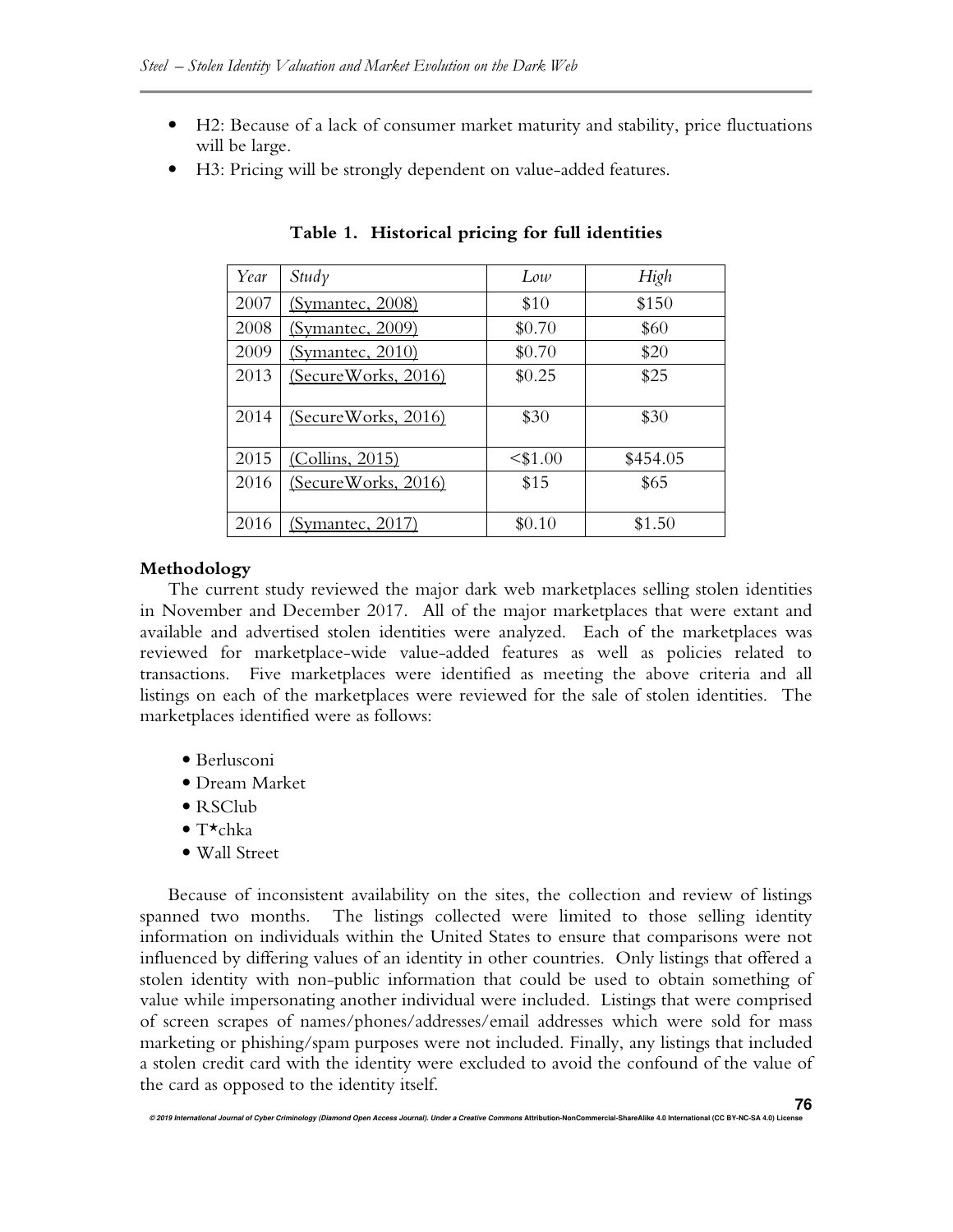- H2: Because of a lack of consumer market maturity and stability, price fluctuations will be large.
- H3: Pricing will be strongly dependent on value-added features.

| Year | Study                      | Low        | High     |
|------|----------------------------|------------|----------|
| 2007 | (Symantec, 2008)           | \$10       | \$150    |
| 2008 | (Symantec, 2009)           | \$0.70     | \$60     |
| 2009 | (Symantec, 2010)           | \$0.70     | \$20     |
| 2013 | (Secure Works, 2016)       | \$0.25     | \$25     |
|      |                            |            |          |
| 2014 | <u>(SecureWorks, 2016)</u> | \$30       | \$30     |
| 2015 | (Collins, 2015)            | $<$ \$1.00 | \$454.05 |
| 2016 | (Secure Works, 2016)       | \$15       | \$65     |
|      |                            |            |          |
| 2016 | (Symantec, 2017)           | \$0.10     | \$1.50   |

**Table 1. Historical pricing for full identities** 

## **Methodology**

The current study reviewed the major dark web marketplaces selling stolen identities in November and December 2017. All of the major marketplaces that were extant and available and advertised stolen identities were analyzed. Each of the marketplaces was reviewed for marketplace-wide value-added features as well as policies related to transactions. Five marketplaces were identified as meeting the above criteria and all listings on each of the marketplaces were reviewed for the sale of stolen identities. The marketplaces identified were as follows:

- Berlusconi
- Dream Market
- RSClub
- T $\star$ chka
- Wall Street

Because of inconsistent availability on the sites, the collection and review of listings spanned two months. The listings collected were limited to those selling identity information on individuals within the United States to ensure that comparisons were not influenced by differing values of an identity in other countries. Only listings that offered a stolen identity with non-public information that could be used to obtain something of value while impersonating another individual were included. Listings that were comprised of screen scrapes of names/phones/addresses/email addresses which were sold for mass marketing or phishing/spam purposes were not included. Finally, any listings that included a stolen credit card with the identity were excluded to avoid the confound of the value of the card as opposed to the identity itself.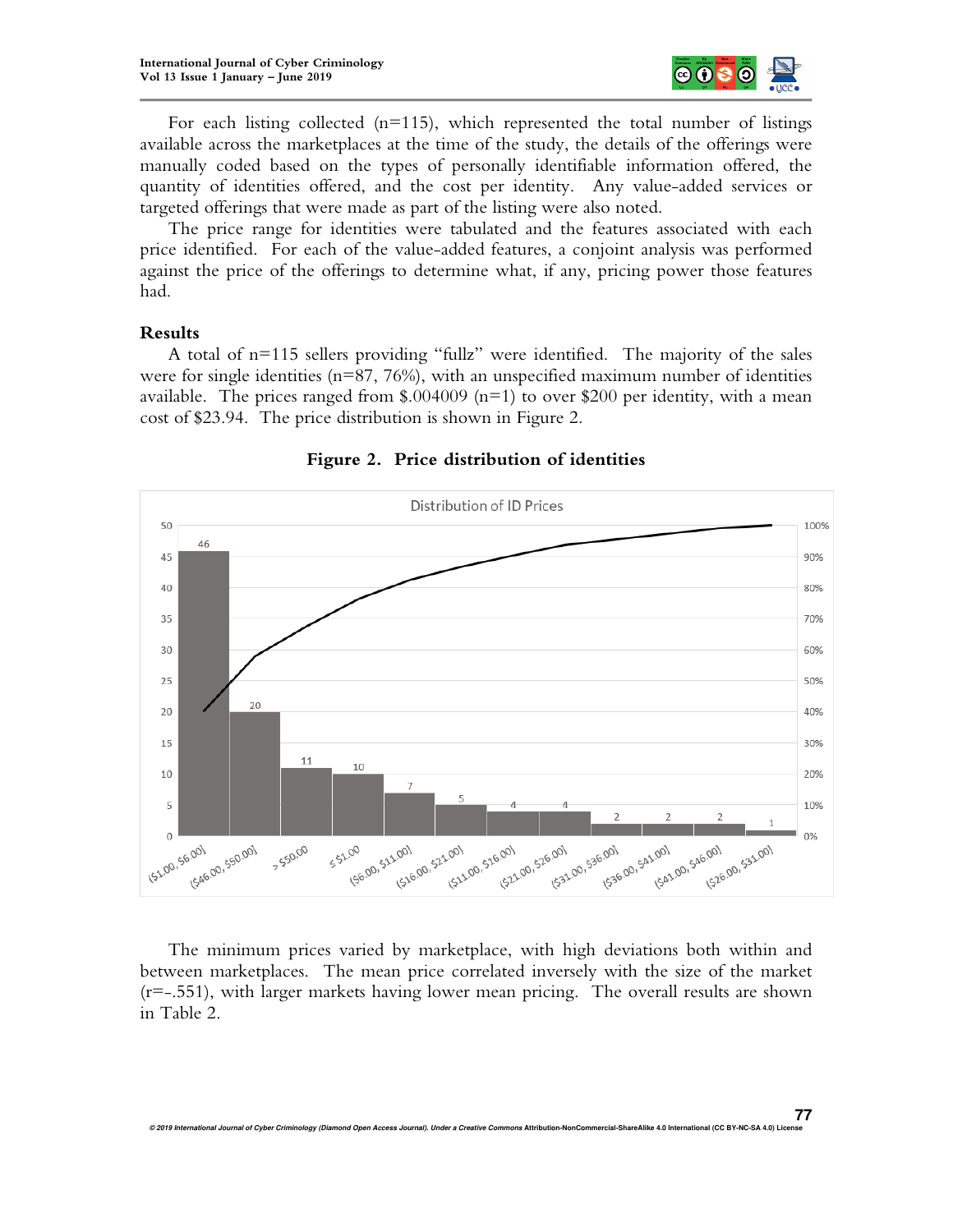

For each listing collected  $(n=115)$ , which represented the total number of listings available across the marketplaces at the time of the study, the details of the offerings were manually coded based on the types of personally identifiable information offered, the quantity of identities offered, and the cost per identity. Any value-added services or targeted offerings that were made as part of the listing were also noted.

The price range for identities were tabulated and the features associated with each price identified. For each of the value-added features, a conjoint analysis was performed against the price of the offerings to determine what, if any, pricing power those features had.

## **Results**

A total of n=115 sellers providing "fullz" were identified. The majority of the sales were for single identities (n=87, 76%), with an unspecified maximum number of identities available. The prices ranged from \$.004009 ( $n=1$ ) to over \$200 per identity, with a mean cost of \$23.94. The price distribution is shown in Figure 2.



**Figure 2. Price distribution of identities** 

The minimum prices varied by marketplace, with high deviations both within and between marketplaces. The mean price correlated inversely with the size of the market (r=-.551), with larger markets having lower mean pricing. The overall results are shown in Table 2.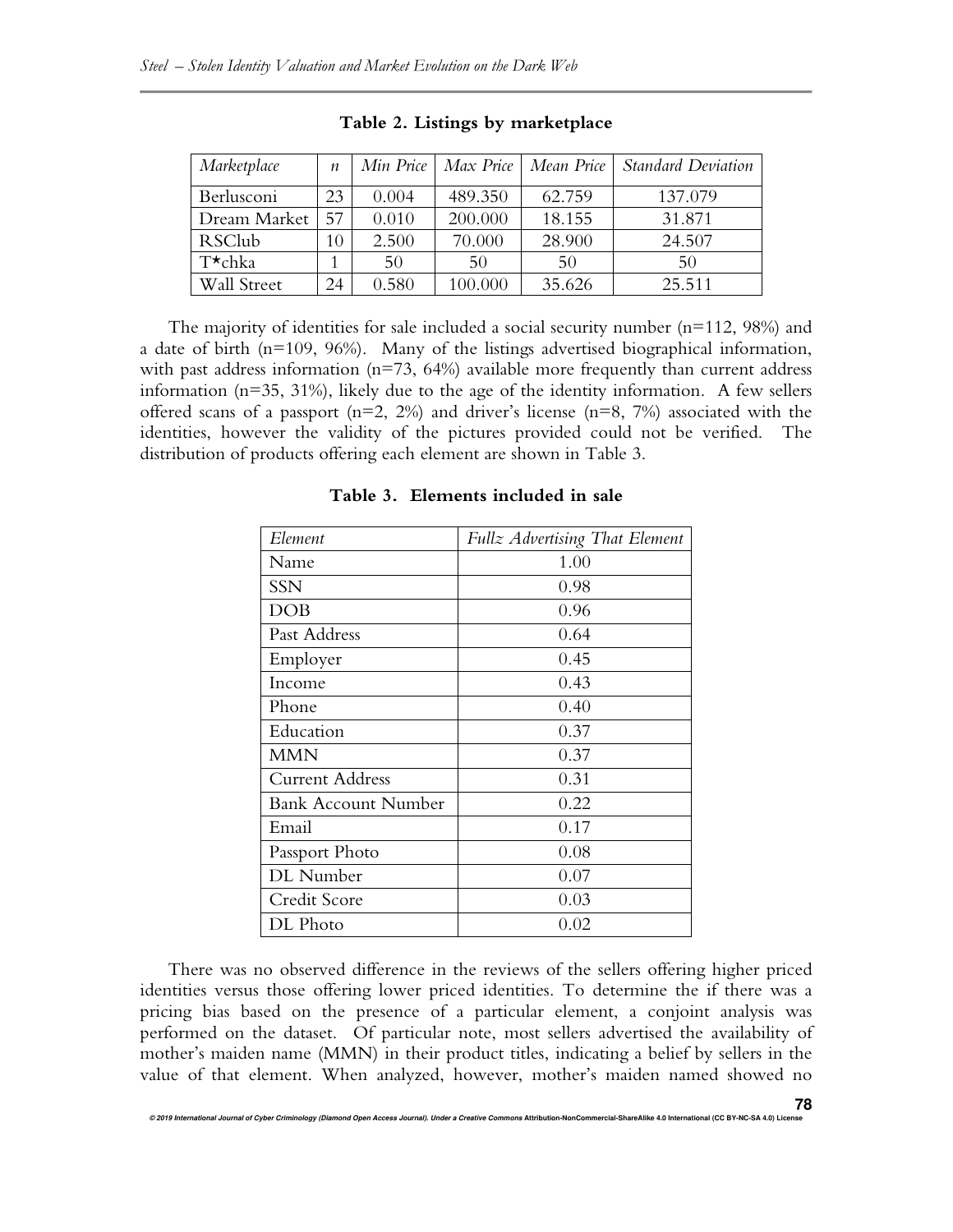| Marketplace      | $\boldsymbol{n}$ |       |         | Min Price   Max Price   Mean Price | <b>Standard Deviation</b> |
|------------------|------------------|-------|---------|------------------------------------|---------------------------|
| Berlusconi       | 23               | 0.004 | 489.350 | 62.759                             | 137.079                   |
| Dream Market     | 57               | 0.010 | 200.000 | 18.155                             | 31.871                    |
| <b>RSClub</b>    | 10               | 2.500 | 70.000  | 28.900                             | 24.507                    |
| $T^{\star}$ chka |                  | 50    | 50      | 50                                 | 50                        |
| Wall Street      | 24               | 0.580 | 100.000 | 35.626                             | 25.511                    |

|  |  |  |  | Table 2. Listings by marketplace |
|--|--|--|--|----------------------------------|
|--|--|--|--|----------------------------------|

The majority of identities for sale included a social security number  $(n=112, 98%)$  and a date of birth (n=109, 96%). Many of the listings advertised biographical information, with past address information ( $n=73$ , 64%) available more frequently than current address information ( $n=35, 31\%$ ), likely due to the age of the identity information. A few sellers offered scans of a passport  $(n=2, 2\%)$  and driver's license  $(n=8, 7\%)$  associated with the identities, however the validity of the pictures provided could not be verified. The distribution of products offering each element are shown in Table 3.

| Element                    | Fullz Advertising That Element |  |  |
|----------------------------|--------------------------------|--|--|
| Name                       | 1.00                           |  |  |
| SSN                        | 0.98                           |  |  |
| DOB                        | 0.96                           |  |  |
| Past Address               | 0.64                           |  |  |
| Employer                   | 0.45                           |  |  |
| Income                     | 0.43                           |  |  |
| Phone                      | 0.40                           |  |  |
| Education                  | 0.37                           |  |  |
| <b>MMN</b>                 | 0.37                           |  |  |
| <b>Current Address</b>     | 0.31                           |  |  |
| <b>Bank Account Number</b> | 0.22                           |  |  |
| Email                      | 0.17                           |  |  |
| Passport Photo             | 0.08                           |  |  |
| DL Number                  | 0.07                           |  |  |
| Credit Score               | 0.03                           |  |  |
| DL Photo                   | 0.02                           |  |  |

**Table 3. Elements included in sale** 

There was no observed difference in the reviews of the sellers offering higher priced identities versus those offering lower priced identities. To determine the if there was a pricing bias based on the presence of a particular element, a conjoint analysis was performed on the dataset. Of particular note, most sellers advertised the availability of mother's maiden name (MMN) in their product titles, indicating a belief by sellers in the value of that element. When analyzed, however, mother's maiden named showed no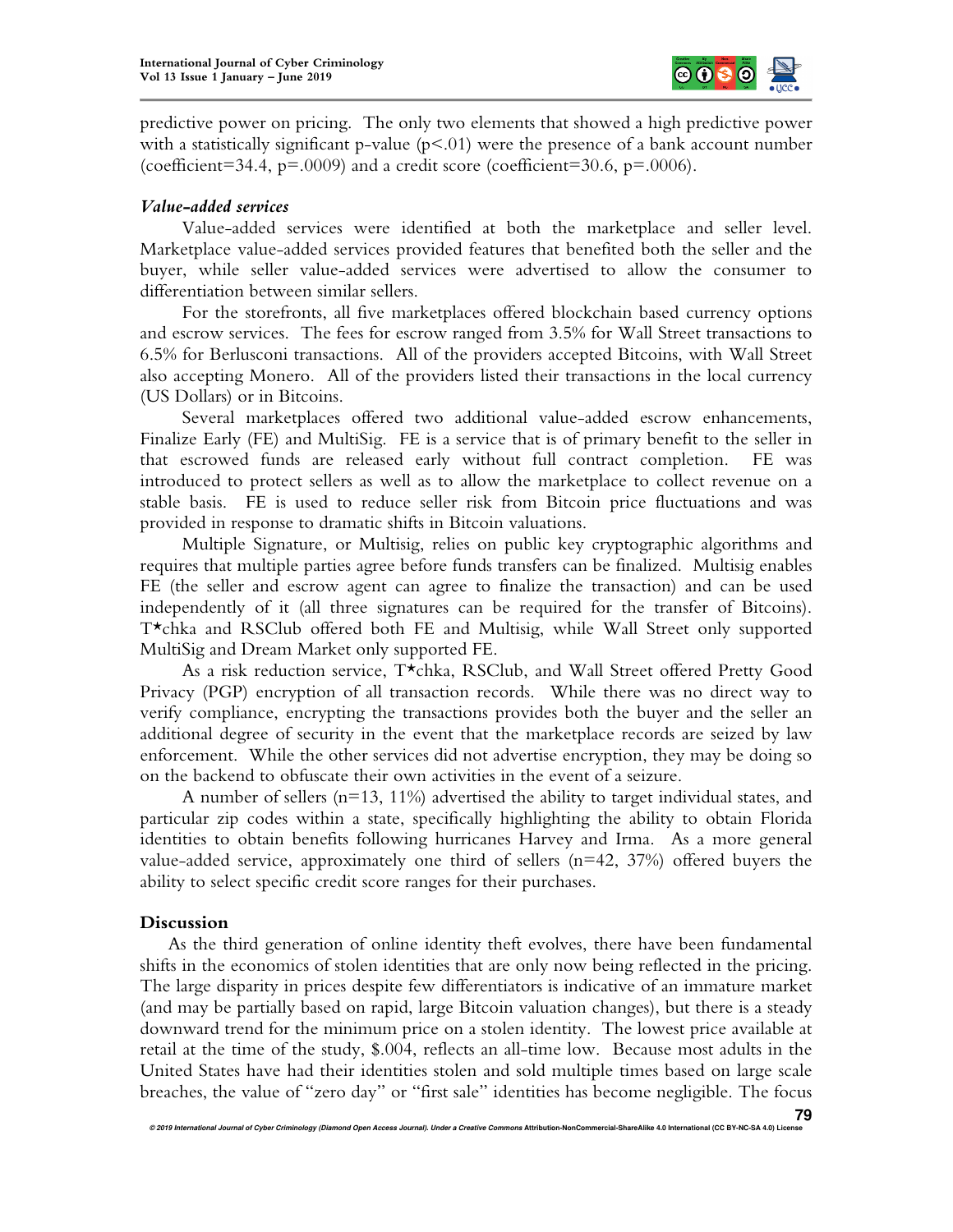

predictive power on pricing. The only two elements that showed a high predictive power with a statistically significant p-value ( $p<0$ 1) were the presence of a bank account number (coefficient=34.4,  $p=0.0009$ ) and a credit score (coefficient=30.6,  $p=.0006$ ).

## *Value-added services*

Value-added services were identified at both the marketplace and seller level. Marketplace value-added services provided features that benefited both the seller and the buyer, while seller value-added services were advertised to allow the consumer to differentiation between similar sellers.

For the storefronts, all five marketplaces offered blockchain based currency options and escrow services. The fees for escrow ranged from 3.5% for Wall Street transactions to 6.5% for Berlusconi transactions. All of the providers accepted Bitcoins, with Wall Street also accepting Monero. All of the providers listed their transactions in the local currency (US Dollars) or in Bitcoins.

Several marketplaces offered two additional value-added escrow enhancements, Finalize Early (FE) and MultiSig. FE is a service that is of primary benefit to the seller in that escrowed funds are released early without full contract completion. FE was introduced to protect sellers as well as to allow the marketplace to collect revenue on a stable basis. FE is used to reduce seller risk from Bitcoin price fluctuations and was provided in response to dramatic shifts in Bitcoin valuations.

Multiple Signature, or Multisig, relies on public key cryptographic algorithms and requires that multiple parties agree before funds transfers can be finalized. Multisig enables FE (the seller and escrow agent can agree to finalize the transaction) and can be used independently of it (all three signatures can be required for the transfer of Bitcoins). T\*chka and RSClub offered both FE and Multisig, while Wall Street only supported MultiSig and Dream Market only supported FE.

As a risk reduction service, T\*chka, RSClub, and Wall Street offered Pretty Good Privacy (PGP) encryption of all transaction records. While there was no direct way to verify compliance, encrypting the transactions provides both the buyer and the seller an additional degree of security in the event that the marketplace records are seized by law enforcement. While the other services did not advertise encryption, they may be doing so on the backend to obfuscate their own activities in the event of a seizure.

A number of sellers  $(n=13, 11\%)$  advertised the ability to target individual states, and particular zip codes within a state, specifically highlighting the ability to obtain Florida identities to obtain benefits following hurricanes Harvey and Irma. As a more general value-added service, approximately one third of sellers  $(n=42, 37%)$  offered buyers the ability to select specific credit score ranges for their purchases.

# **Discussion**

As the third generation of online identity theft evolves, there have been fundamental shifts in the economics of stolen identities that are only now being reflected in the pricing. The large disparity in prices despite few differentiators is indicative of an immature market (and may be partially based on rapid, large Bitcoin valuation changes), but there is a steady downward trend for the minimum price on a stolen identity. The lowest price available at retail at the time of the study, \$.004, reflects an all-time low. Because most adults in the United States have had their identities stolen and sold multiple times based on large scale breaches, the value of "zero day" or "first sale" identities has become negligible. The focus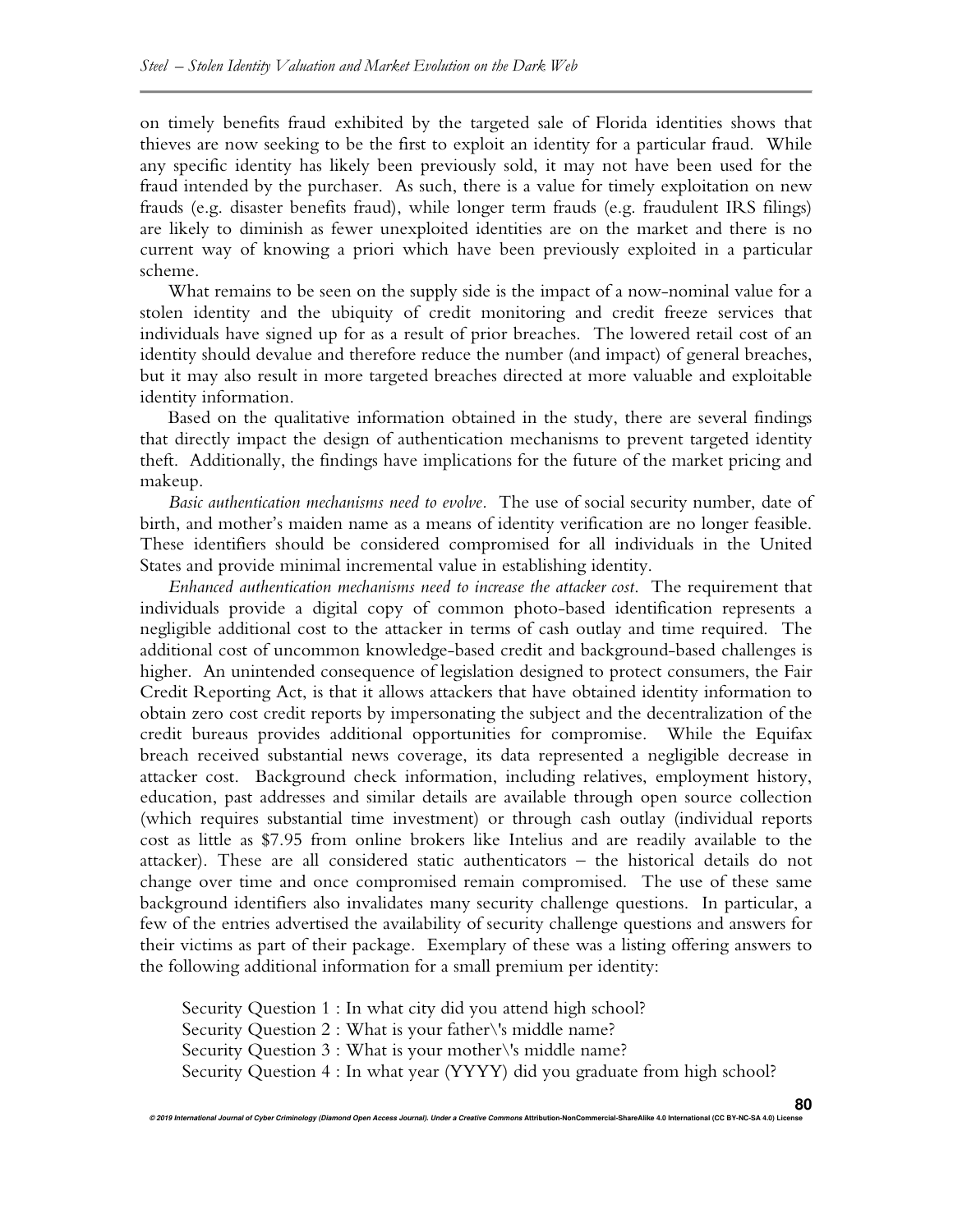on timely benefits fraud exhibited by the targeted sale of Florida identities shows that thieves are now seeking to be the first to exploit an identity for a particular fraud. While any specific identity has likely been previously sold, it may not have been used for the fraud intended by the purchaser. As such, there is a value for timely exploitation on new frauds (e.g. disaster benefits fraud), while longer term frauds (e.g. fraudulent IRS filings) are likely to diminish as fewer unexploited identities are on the market and there is no current way of knowing a priori which have been previously exploited in a particular scheme.

What remains to be seen on the supply side is the impact of a now-nominal value for a stolen identity and the ubiquity of credit monitoring and credit freeze services that individuals have signed up for as a result of prior breaches. The lowered retail cost of an identity should devalue and therefore reduce the number (and impact) of general breaches, but it may also result in more targeted breaches directed at more valuable and exploitable identity information.

Based on the qualitative information obtained in the study, there are several findings that directly impact the design of authentication mechanisms to prevent targeted identity theft. Additionally, the findings have implications for the future of the market pricing and makeup.

*Basic authentication mechanisms need to evolve.* The use of social security number, date of birth, and mother's maiden name as a means of identity verification are no longer feasible. These identifiers should be considered compromised for all individuals in the United States and provide minimal incremental value in establishing identity.

*Enhanced authentication mechanisms need to increase the attacker cost*. The requirement that individuals provide a digital copy of common photo-based identification represents a negligible additional cost to the attacker in terms of cash outlay and time required. The additional cost of uncommon knowledge-based credit and background-based challenges is higher. An unintended consequence of legislation designed to protect consumers, the Fair Credit Reporting Act, is that it allows attackers that have obtained identity information to obtain zero cost credit reports by impersonating the subject and the decentralization of the credit bureaus provides additional opportunities for compromise. While the Equifax breach received substantial news coverage, its data represented a negligible decrease in attacker cost. Background check information, including relatives, employment history, education, past addresses and similar details are available through open source collection (which requires substantial time investment) or through cash outlay (individual reports cost as little as \$7.95 from online brokers like Intelius and are readily available to the attacker). These are all considered static authenticators – the historical details do not change over time and once compromised remain compromised. The use of these same background identifiers also invalidates many security challenge questions. In particular, a few of the entries advertised the availability of security challenge questions and answers for their victims as part of their package. Exemplary of these was a listing offering answers to the following additional information for a small premium per identity:

Security Question 1 : In what city did you attend high school? Security Question 2 : What is your father\'s middle name? Security Question 3 : What is your mother\'s middle name? Security Question 4 : In what year (YYYY) did you graduate from high school?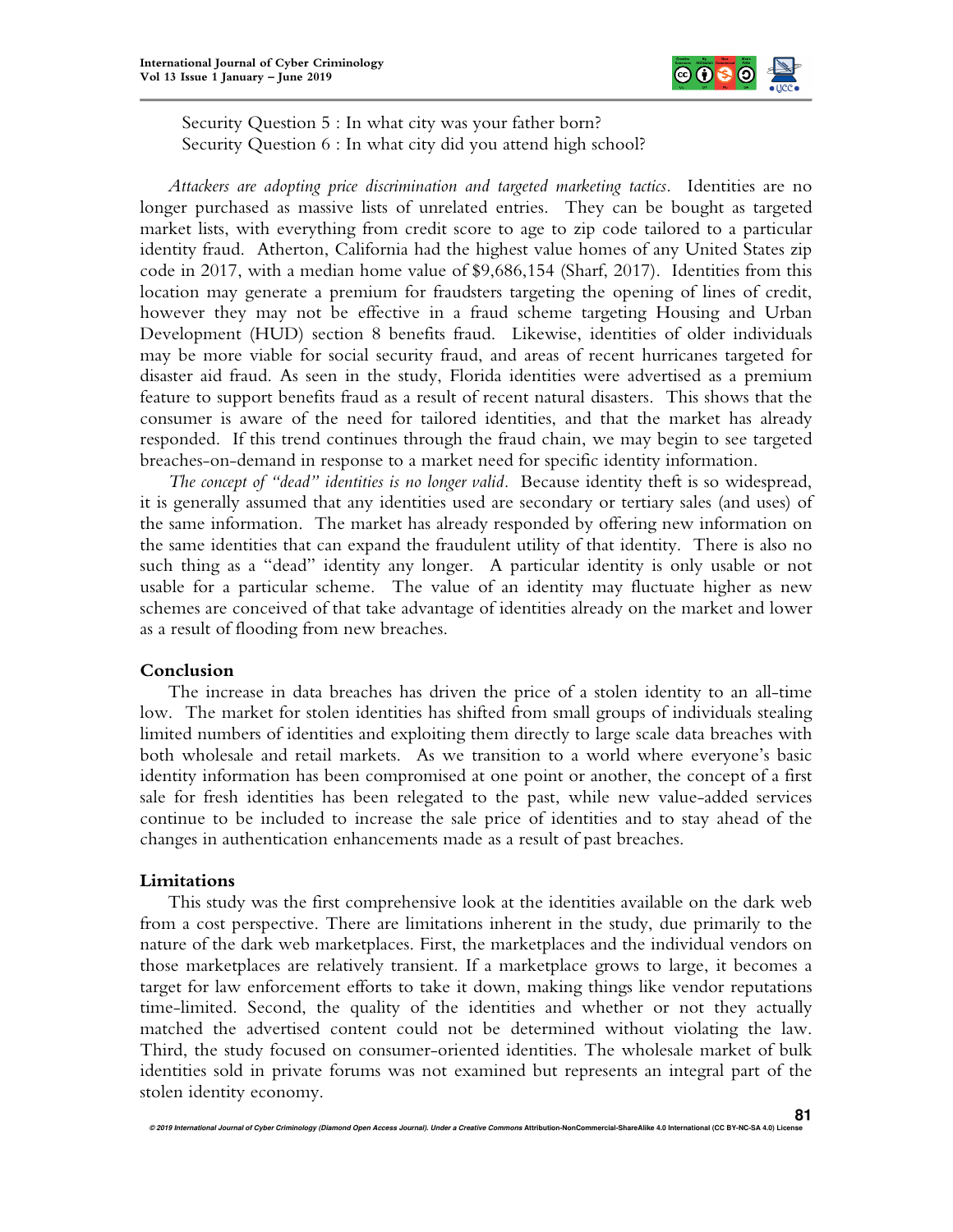

Security Question 5 : In what city was your father born? Security Question 6 : In what city did you attend high school?

*Attackers are adopting price discrimination and targeted marketing tactics.* Identities are no longer purchased as massive lists of unrelated entries. They can be bought as targeted market lists, with everything from credit score to age to zip code tailored to a particular identity fraud. Atherton, California had the highest value homes of any United States zip code in 2017, with a median home value of \$9,686,154 (Sharf, 2017). Identities from this location may generate a premium for fraudsters targeting the opening of lines of credit, however they may not be effective in a fraud scheme targeting Housing and Urban Development (HUD) section 8 benefits fraud. Likewise, identities of older individuals may be more viable for social security fraud, and areas of recent hurricanes targeted for disaster aid fraud. As seen in the study, Florida identities were advertised as a premium feature to support benefits fraud as a result of recent natural disasters. This shows that the consumer is aware of the need for tailored identities, and that the market has already responded. If this trend continues through the fraud chain, we may begin to see targeted breaches-on-demand in response to a market need for specific identity information.

*The concept of "dead" identities is no longer valid.* Because identity theft is so widespread, it is generally assumed that any identities used are secondary or tertiary sales (and uses) of the same information. The market has already responded by offering new information on the same identities that can expand the fraudulent utility of that identity. There is also no such thing as a "dead" identity any longer. A particular identity is only usable or not usable for a particular scheme. The value of an identity may fluctuate higher as new schemes are conceived of that take advantage of identities already on the market and lower as a result of flooding from new breaches.

## **Conclusion**

The increase in data breaches has driven the price of a stolen identity to an all-time low. The market for stolen identities has shifted from small groups of individuals stealing limited numbers of identities and exploiting them directly to large scale data breaches with both wholesale and retail markets. As we transition to a world where everyone's basic identity information has been compromised at one point or another, the concept of a first sale for fresh identities has been relegated to the past, while new value-added services continue to be included to increase the sale price of identities and to stay ahead of the changes in authentication enhancements made as a result of past breaches.

#### **Limitations**

This study was the first comprehensive look at the identities available on the dark web from a cost perspective. There are limitations inherent in the study, due primarily to the nature of the dark web marketplaces. First, the marketplaces and the individual vendors on those marketplaces are relatively transient. If a marketplace grows to large, it becomes a target for law enforcement efforts to take it down, making things like vendor reputations time-limited. Second, the quality of the identities and whether or not they actually matched the advertised content could not be determined without violating the law. Third, the study focused on consumer-oriented identities. The wholesale market of bulk identities sold in private forums was not examined but represents an integral part of the stolen identity economy.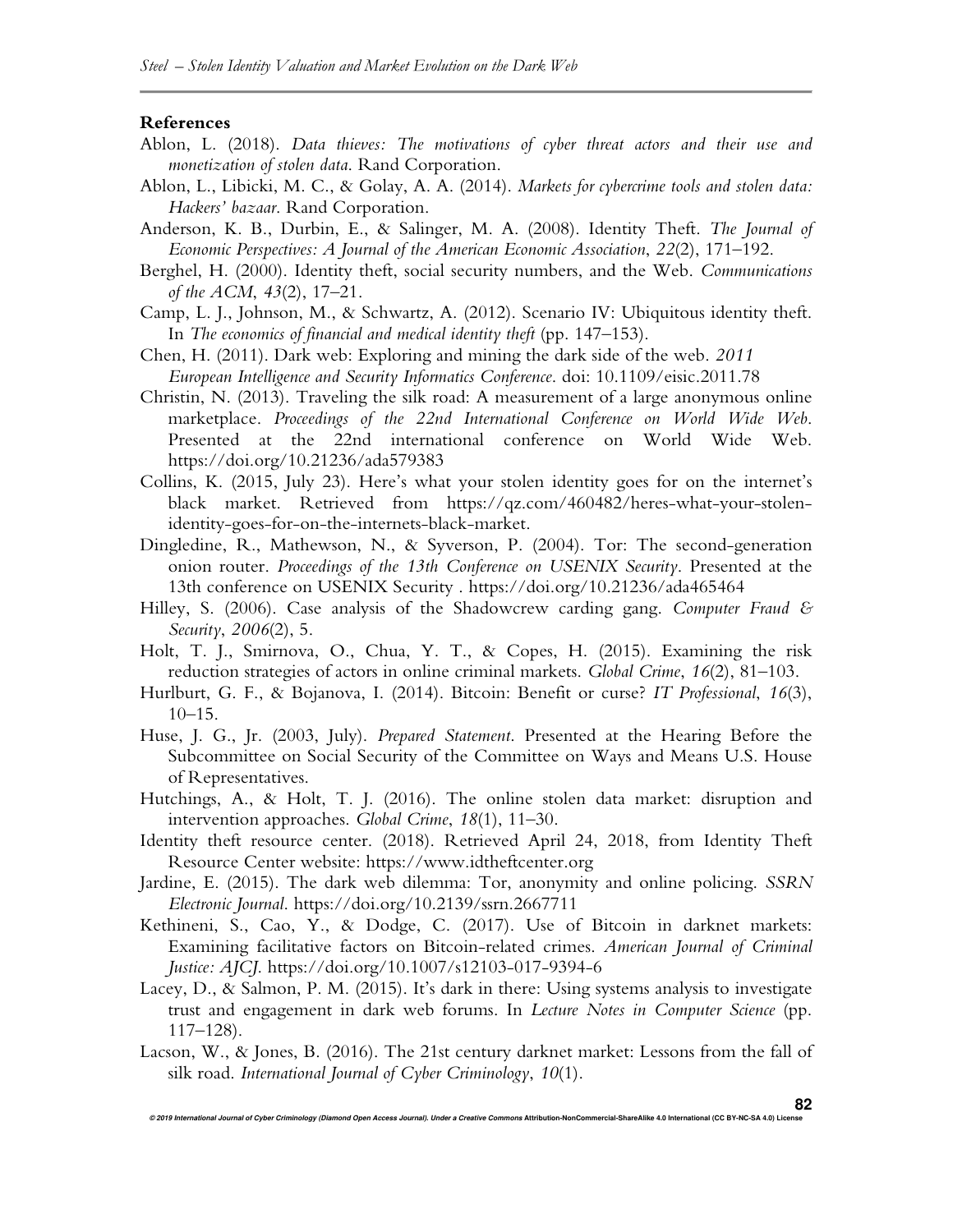#### **References**

- Ablon, L. (2018). *Data thieves: The motivations of cyber threat actors and their use and monetization of stolen data*. Rand Corporation.
- Ablon, L., Libicki, M. C., & Golay, A. A. (2014). *Markets for cybercrime tools and stolen data: Hackers' bazaar*. Rand Corporation.
- Anderson, K. B., Durbin, E., & Salinger, M. A. (2008). Identity Theft. *The Journal of Economic Perspectives: A Journal of the American Economic Association*, *22*(2), 171–192.
- Berghel, H. (2000). Identity theft, social security numbers, and the Web. *Communications of the ACM*, *43*(2), 17–21.
- Camp, L. J., Johnson, M., & Schwartz, A. (2012). Scenario IV: Ubiquitous identity theft. In *The economics of financial and medical identity theft* (pp. 147–153).
- Chen, H. (2011). Dark web: Exploring and mining the dark side of the web. *2011 European Intelligence and Security Informatics Conference*. doi: 10.1109/eisic.2011.78
- Christin, N. (2013). Traveling the silk road: A measurement of a large anonymous online marketplace. *Proceedings of the 22nd International Conference on World Wide Web*. Presented at the 22nd international conference on World Wide Web. https://doi.org/10.21236/ada579383
- Collins, K. (2015, July 23). Here's what your stolen identity goes for on the internet's black market. Retrieved from https://qz.com/460482/heres-what-your-stolenidentity-goes-for-on-the-internets-black-market.
- Dingledine, R., Mathewson, N., & Syverson, P. (2004). Tor: The second-generation onion router. *Proceedings of the 13th Conference on USENIX Security*. Presented at the 13th conference on USENIX Security . https://doi.org/10.21236/ada465464
- Hilley, S. (2006). Case analysis of the Shadowcrew carding gang. *Computer Fraud & Security*, *2006*(2), 5.
- Holt, T. J., Smirnova, O., Chua, Y. T., & Copes, H. (2015). Examining the risk reduction strategies of actors in online criminal markets. *Global Crime*, *16*(2), 81–103.
- Hurlburt, G. F., & Bojanova, I. (2014). Bitcoin: Benefit or curse? *IT Professional*, *16*(3),  $10-15$ .
- Huse, J. G., Jr. (2003, July). *Prepared Statement*. Presented at the Hearing Before the Subcommittee on Social Security of the Committee on Ways and Means U.S. House of Representatives.
- Hutchings, A., & Holt, T. J. (2016). The online stolen data market: disruption and intervention approaches. *Global Crime*, *18*(1), 11–30.
- Identity theft resource center. (2018). Retrieved April 24, 2018, from Identity Theft Resource Center website: https://www.idtheftcenter.org
- Jardine, E. (2015). The dark web dilemma: Tor, anonymity and online policing. *SSRN Electronic Journal*. https://doi.org/10.2139/ssrn.2667711
- Kethineni, S., Cao, Y., & Dodge, C. (2017). Use of Bitcoin in darknet markets: Examining facilitative factors on Bitcoin-related crimes. *American Journal of Criminal Justice: AJCJ*. https://doi.org/10.1007/s12103-017-9394-6
- Lacey, D., & Salmon, P. M. (2015). It's dark in there: Using systems analysis to investigate trust and engagement in dark web forums. In *Lecture Notes in Computer Science* (pp. 117–128).
- Lacson, W., & Jones, B. (2016). The 21st century darknet market: Lessons from the fall of silk road. *International Journal of Cyber Criminology*, *10*(1).